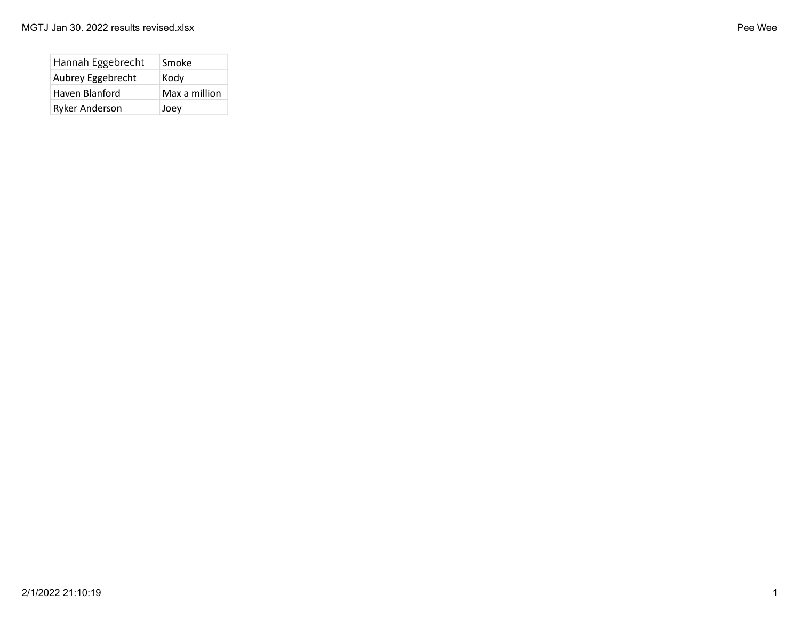| Hannah Eggebrecht | Smoke         |
|-------------------|---------------|
| Aubrey Eggebrecht | Kody          |
| Haven Blanford    | Max a million |
| Ryker Anderson    | Joey          |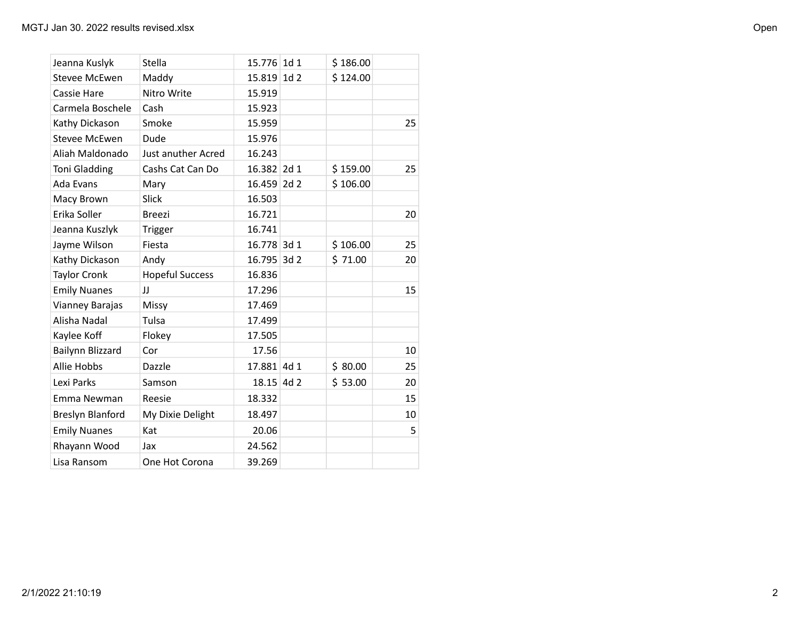| Jeanna Kuslyk        | Stella                 | 15.776 1d 1 |                 | \$186.00 |    |
|----------------------|------------------------|-------------|-----------------|----------|----|
| <b>Stevee McEwen</b> | Maddy                  | 15.819      | 1d <sub>2</sub> | \$124.00 |    |
| <b>Cassie Hare</b>   | Nitro Write            | 15.919      |                 |          |    |
| Carmela Boschele     | Cash                   | 15.923      |                 |          |    |
| Kathy Dickason       | Smoke                  | 15.959      |                 |          | 25 |
| <b>Stevee McEwen</b> | Dude                   | 15.976      |                 |          |    |
| Aliah Maldonado      | Just anuther Acred     | 16.243      |                 |          |    |
| <b>Toni Gladding</b> | Cashs Cat Can Do       | 16.382 2d 1 |                 | \$159.00 | 25 |
| Ada Evans            | Mary                   | 16.459 2d 2 |                 | \$106.00 |    |
| Macy Brown           | Slick                  | 16.503      |                 |          |    |
| Erika Soller         | <b>Breezi</b>          | 16.721      |                 |          | 20 |
| Jeanna Kuszlyk       | Trigger                | 16.741      |                 |          |    |
| Jayme Wilson         | Fiesta                 | 16.778 3d 1 |                 | \$106.00 | 25 |
| Kathy Dickason       | Andy                   | 16.795 3d 2 |                 | \$71.00  | 20 |
| <b>Taylor Cronk</b>  | <b>Hopeful Success</b> | 16.836      |                 |          |    |
| <b>Emily Nuanes</b>  | IJ                     | 17.296      |                 |          | 15 |
| Vianney Barajas      | Missy                  | 17.469      |                 |          |    |
| Alisha Nadal         | Tulsa                  | 17.499      |                 |          |    |
| Kaylee Koff          | Flokey                 | 17.505      |                 |          |    |
| Bailynn Blizzard     | Cor                    | 17.56       |                 |          | 10 |
| <b>Allie Hobbs</b>   | Dazzle                 | 17.881 4d 1 |                 | \$80.00  | 25 |
| Lexi Parks           | Samson                 | 18.15 4d 2  |                 | \$53.00  | 20 |
| Emma Newman          | Reesie                 | 18.332      |                 |          | 15 |
| Breslyn Blanford     | My Dixie Delight       | 18.497      |                 |          | 10 |
| <b>Emily Nuanes</b>  | Kat                    | 20.06       |                 |          | 5  |
| Rhayann Wood         | Jax                    | 24.562      |                 |          |    |
| Lisa Ransom          | One Hot Corona         | 39.269      |                 |          |    |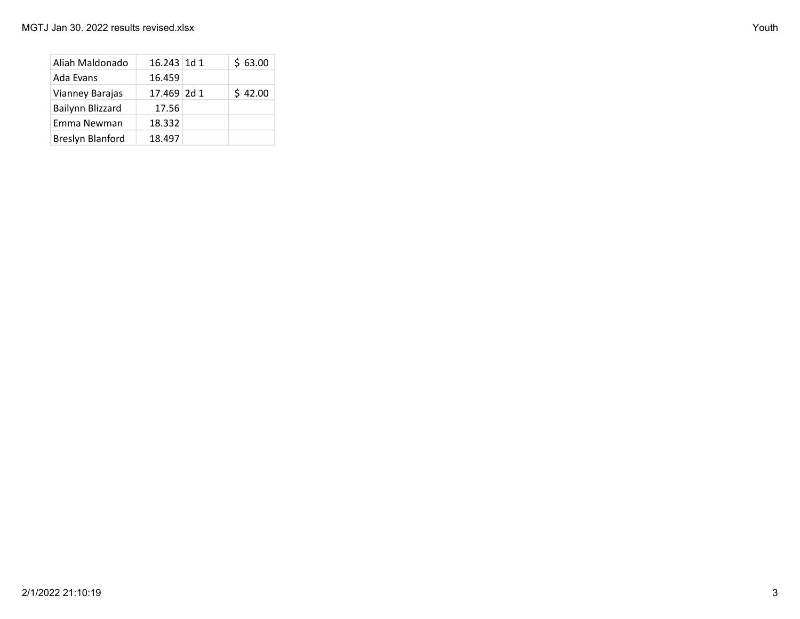| Aliah Maldonado  | $16.243$ 1d 1 | \$63.00 |
|------------------|---------------|---------|
| Ada Evans        | 16.459        |         |
| Vianney Barajas  | 17.469 2d 1   | \$42.00 |
| Bailynn Blizzard | 17.56         |         |
| Emma Newman      | 18.332        |         |
| Breslyn Blanford | 18.497        |         |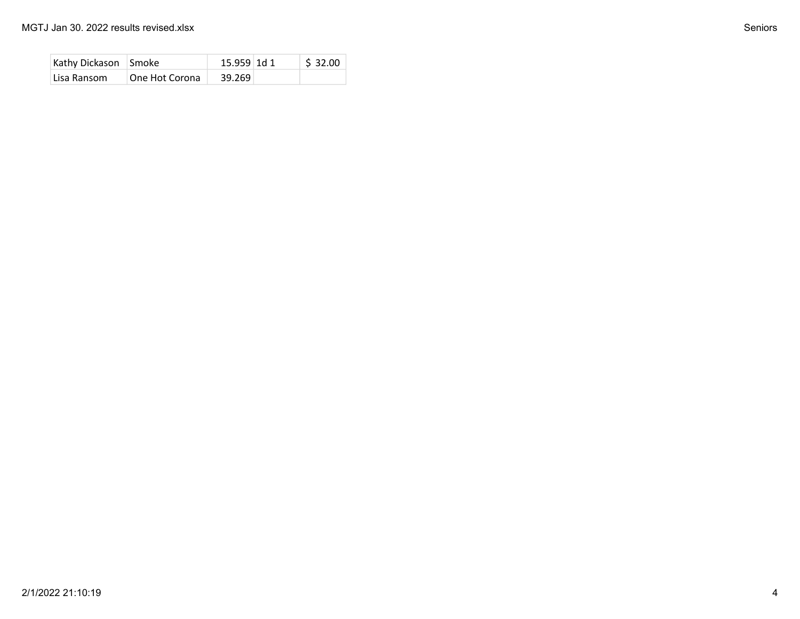| Kathy Dickason Smoke |                | 15.959 1d 1 | $\frac{1}{2}$ 32.00 |
|----------------------|----------------|-------------|---------------------|
| Lisa Ransom          | One Hot Corona | 39.269      |                     |